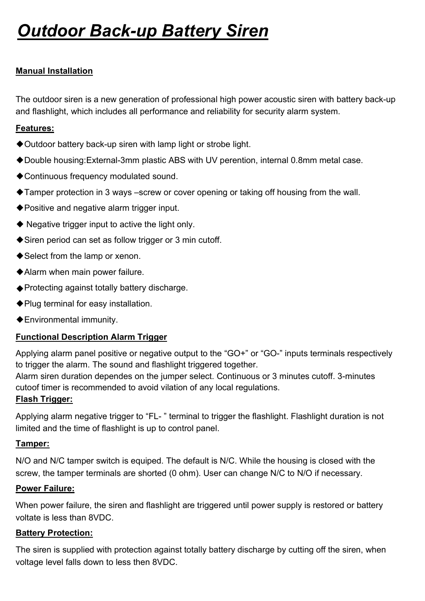# **Outdoor Back-up Battery Siren**

## Manual Installation

The outdoor siren is a new generation of professional high power acoustic siren with battery back-up and flashlight, which includes all performance and reliability for security alarm system.

#### Features:

- ◆ Outdoor battery back-up siren with lamp light or strobe light.
- ◆Double housing:External-3mm plastic ABS with UV perention, internal 0.8mm metal case.
- ◆ Continuous frequency modulated sound.
- ◆Tamper protection in 3 ways –screw or cover opening or taking off housing from the wall.
- ◆Positive and negative alarm trigger input.
- ◆ Negative trigger input to active the light only.
- ◆Siren period can set as follow trigger or 3 min cutoff.
- ◆Select from the lamp or xenon.
- ◆Alarm when main power failure.
- ◆ Protecting against totally battery discharge.
- ◆Plug terminal for easy installation.
- ◆Environmental immunity.

### Functional Description Alarm Trigger

Applying alarm panel positive or negative output to the "GO+" or "GO-" inputs terminals respectively to trigger the alarm. The sound and flashlight triggered together.

Alarm siren duration dependes on the jumper select. Continuous or 3 minutes cutoff. 3-minutes cutoof timer is recommended to avoid vilation of any local regulations.

#### Flash Trigger:

Applying alarm negative trigger to "FL- " terminal to trigger the flashlight. Flashlight duration is not limited and the time of flashlight is up to control panel.

#### Tamper:

N/O and N/C tamper switch is equiped. The default is N/C. While the housing is closed with the screw, the tamper terminals are shorted (0 ohm). User can change N/C to N/O if necessary.

#### Power Failure:

When power failure, the siren and flashlight are triggered until power supply is restored or battery voltate is less than 8VDC.

#### Battery Protection:

The siren is supplied with protection against totally battery discharge by cutting off the siren, when voltage level falls down to less then 8VDC.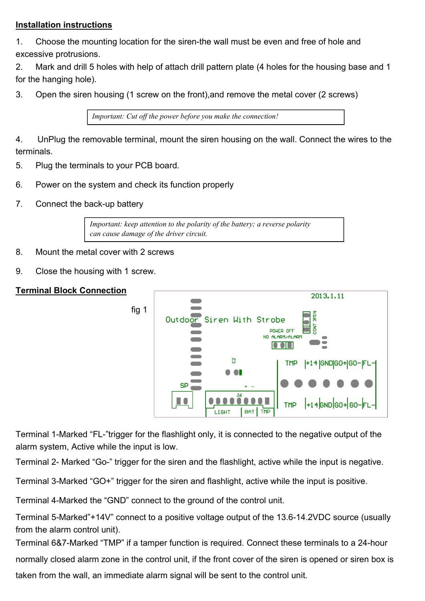#### Installation instructions

1. Choose the mounting location for the siren-the wall must be even and free of hole and excessive protrusions.

2. Mark and drill 5 holes with help of attach drill pattern plate (4 holes for the housing base and 1 for the hanging hole).

3. Open the siren housing (1 screw on the front),and remove the metal cover (2 screws)

Important: Cut off the power before you make the connection!

4. UnPlug the removable terminal, mount the siren housing on the wall. Connect the wires to the terminals.

- 5. Plug the terminals to your PCB board.
- 6. Power on the system and check its function properly
- 7. Connect the back-up battery

Important: keep attention to the polarity of the battery; a reverse polarity can cause damage of the driver circuit.

- 8. Mount the metal cover with 2 screws
- 9. Close the housing with 1 screw.

#### Terminal Block Connection



Terminal 1-Marked "FL-"trigger for the flashlight only, it is connected to the negative output of the alarm system, Active while the input is low.

Terminal 2- Marked "Go-" trigger for the siren and the flashlight, active while the input is negative.

Terminal 3-Marked "GO+" trigger for the siren and flashlight, active while the input is positive.

Terminal 4-Marked the "GND" connect to the ground of the control unit.

Terminal 5-Marked"+14V" connect to a positive voltage output of the 13.6-14.2VDC source (usually from the alarm control unit).

Terminal 6&7-Marked "TMP" if a tamper function is required. Connect these terminals to a 24-hour normally closed alarm zone in the control unit, if the front cover of the siren is opened or siren box is taken from the wall, an immediate alarm signal will be sent to the control unit.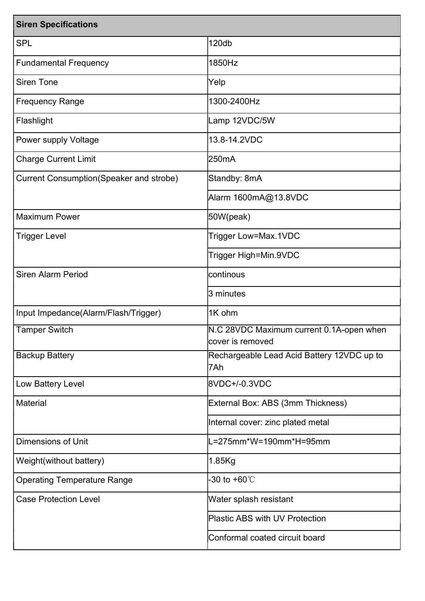| <b>Siren Specifications</b>             |                                                              |
|-----------------------------------------|--------------------------------------------------------------|
| <b>SPL</b>                              | 120db                                                        |
| <b>Fundamental Frequency</b>            | 1850Hz                                                       |
| <b>Siren Tone</b>                       | Yelp                                                         |
| <b>Frequency Range</b>                  | 1300-2400Hz                                                  |
| Flashlight                              | Lamp 12VDC/5W                                                |
| Power supply Voltage                    | 13.8-14.2VDC                                                 |
| <b>Charge Current Limit</b>             | 250mA                                                        |
| Current Consumption(Speaker and strobe) | Standby: 8mA                                                 |
|                                         | Alarm 1600mA@13.8VDC                                         |
| <b>Maximum Power</b>                    | 50W(peak)                                                    |
| <b>Trigger Level</b>                    | Trigger Low=Max.1VDC                                         |
|                                         | Trigger High=Min.9VDC                                        |
| <b>Siren Alarm Period</b>               | continous                                                    |
|                                         | 3 minutes                                                    |
| Input Impedance(Alarm/Flash/Trigger)    | 1K ohm                                                       |
| <b>Tamper Switch</b>                    | N.C 28VDC Maximum current 0.1A-open when<br>cover is removed |
| <b>Backup Battery</b>                   | Rechargeable Lead Acid Battery 12VDC up to<br>7Ah            |
| Low Battery Level                       | 8VDC+/-0.3VDC                                                |
| <b>Material</b>                         | External Box: ABS (3mm Thickness)                            |
|                                         | Internal cover: zinc plated metal                            |
| <b>Dimensions of Unit</b>               | L=275mm*W=190mm*H=95mm                                       |
| Weight(without battery)                 | 1.85Kg                                                       |
| <b>Operating Temperature Range</b>      | -30 to +60 $\degree$ C                                       |
| <b>Case Protection Level</b>            | Water splash resistant                                       |
|                                         | <b>Plastic ABS with UV Protection</b>                        |
|                                         | Conformal coated circuit board                               |